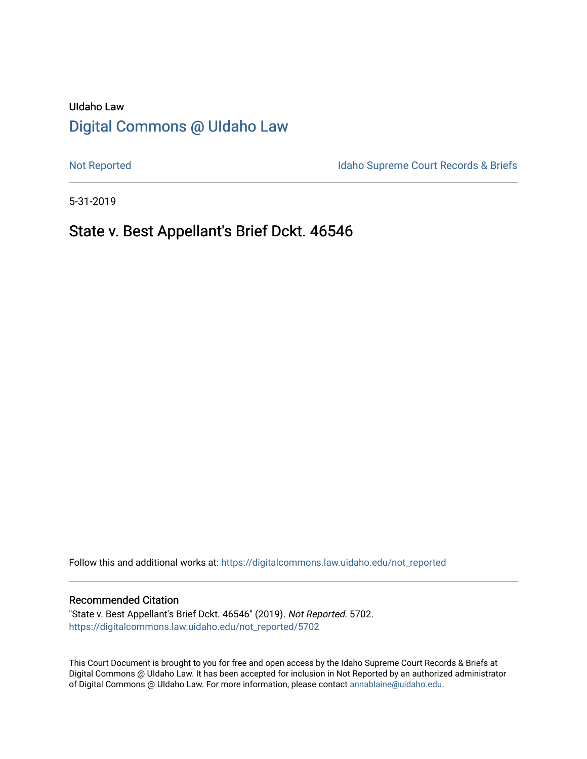# UIdaho Law [Digital Commons @ UIdaho Law](https://digitalcommons.law.uidaho.edu/)

[Not Reported](https://digitalcommons.law.uidaho.edu/not_reported) **Idaho Supreme Court Records & Briefs** 

5-31-2019

# State v. Best Appellant's Brief Dckt. 46546

Follow this and additional works at: [https://digitalcommons.law.uidaho.edu/not\\_reported](https://digitalcommons.law.uidaho.edu/not_reported?utm_source=digitalcommons.law.uidaho.edu%2Fnot_reported%2F5702&utm_medium=PDF&utm_campaign=PDFCoverPages) 

#### Recommended Citation

"State v. Best Appellant's Brief Dckt. 46546" (2019). Not Reported. 5702. [https://digitalcommons.law.uidaho.edu/not\\_reported/5702](https://digitalcommons.law.uidaho.edu/not_reported/5702?utm_source=digitalcommons.law.uidaho.edu%2Fnot_reported%2F5702&utm_medium=PDF&utm_campaign=PDFCoverPages)

This Court Document is brought to you for free and open access by the Idaho Supreme Court Records & Briefs at Digital Commons @ UIdaho Law. It has been accepted for inclusion in Not Reported by an authorized administrator of Digital Commons @ UIdaho Law. For more information, please contact [annablaine@uidaho.edu](mailto:annablaine@uidaho.edu).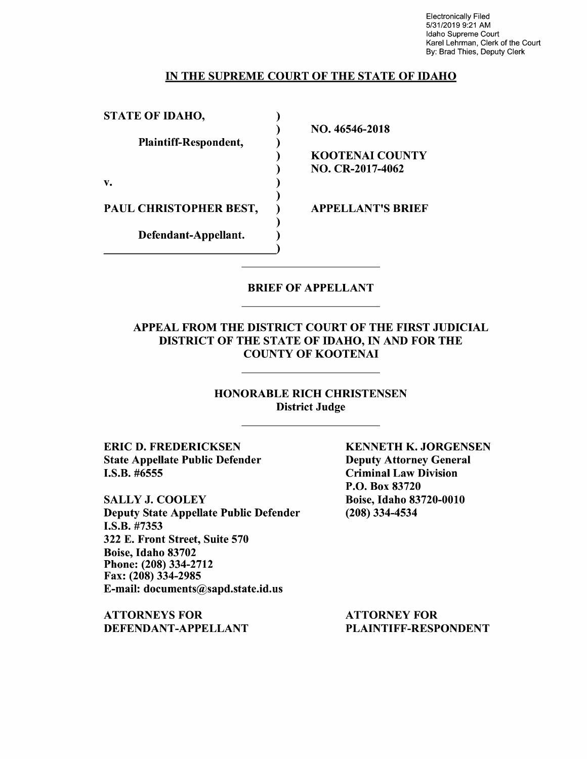Electronically Filed 5/31/2019 9:21 AM Idaho Supreme Court Karel Lehrman, Clerk of the Court By: Brad Thies, Deputy Clerk

### IN THE SUPREME COURT OF THE STATE OF IDAHO

| <b>STATE OF IDAHO,</b> |                          |
|------------------------|--------------------------|
|                        | NO. 46546-2018           |
| Plaintiff-Respondent,  |                          |
|                        | KOOTENAI COUNTY          |
|                        | NO. CR-2017-4062         |
| v.                     |                          |
|                        |                          |
| PAUL CHRISTOPHER BEST, | <b>APPELLANT'S BRIEF</b> |
|                        |                          |
| Defendant-Appellant.   |                          |
|                        |                          |

### BRIEF OF APPELLANT

### APPEAL FROM THE DISTRICT COURT OF THE FIRST JUDICIAL DISTRICT OF THE STATE OF IDAHO, IN AND FOR THE COUNTY OF KOOTENAI

### HONORABLE RICH CHRISTENSEN District Judge

**ERIC D. FREDERICKSEN**  State Appellate Public Defender I.S.B. #6555

SALLY J. COOLEY Deputy State Appellate Public Defender **I.S.B.** #7353 322 E. Front Street, Suite 570 Boise, Idaho 83702 Phone: (208) 334-2712 Fax: (208) 334-2985 E-mail: documents@sapd.state.id.us

**ATTORNEYS FOR DEFENDANT-APPELLANT**  **KENNETH K. JORGENSEN**  Deputy Attorney General Criminal Law Division P.O. Box 83720 Boise, Idaho 83720-0010 (208) 334-4534

ATTORNEY FOR PLAINTIFF-RESPONDENT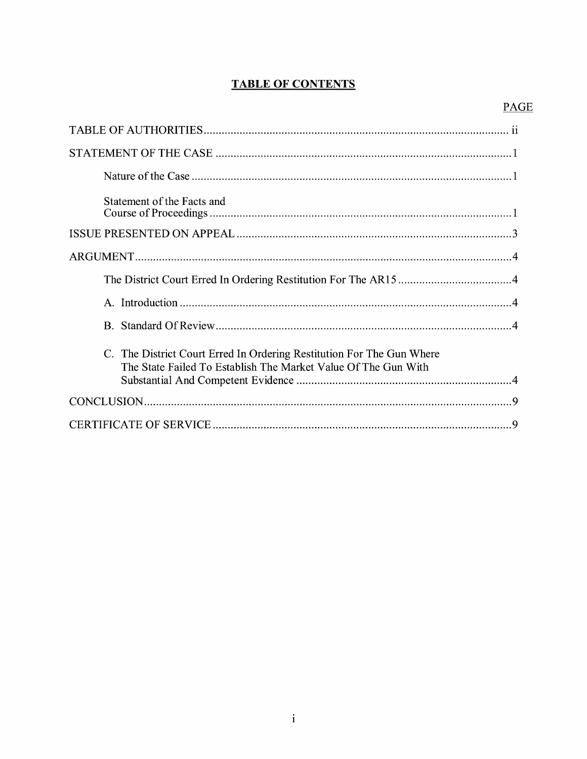# **TABLE OF CONTENTS**

| Statement of the Facts and                                                                                                              |
|-----------------------------------------------------------------------------------------------------------------------------------------|
|                                                                                                                                         |
|                                                                                                                                         |
|                                                                                                                                         |
|                                                                                                                                         |
|                                                                                                                                         |
| C. The District Court Erred In Ordering Restitution For The Gun Where<br>The State Failed To Establish The Market Value Of The Gun With |
|                                                                                                                                         |
|                                                                                                                                         |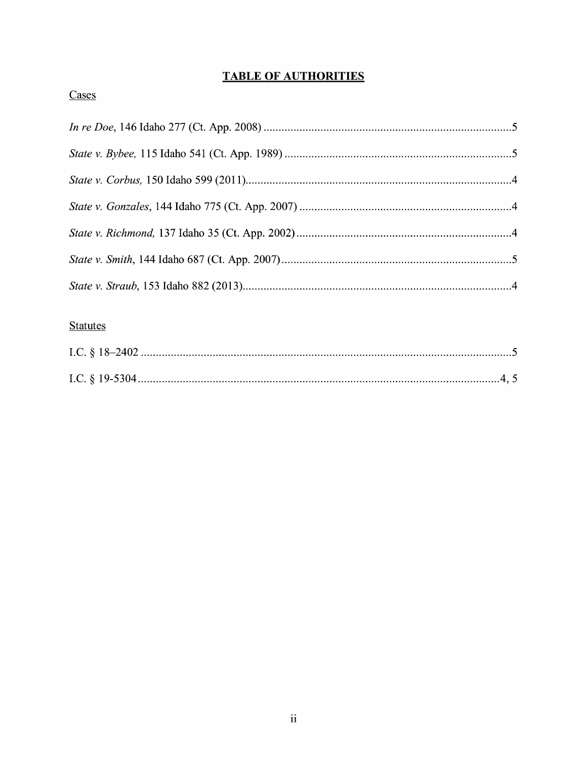# **TABLE OF AUTHORITIES**

# Cases

# **Statutes**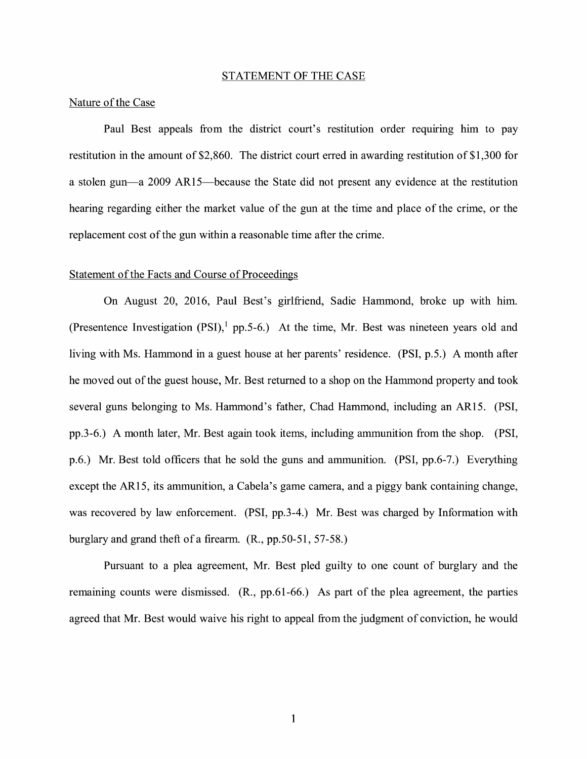#### STATEMENT OF THE CASE

#### Nature of the Case

Paul Best appeals from the district court's restitution order requiring him to pay restitution in the amount of \$2,860. The district court erred in awarding restitution of \$1,300 for a stolen gun—a 2009 AR15—because the State did not present any evidence at the restitution hearing regarding either the market value of the gun at the time and place of the crime, or the replacement cost of the gun within a reasonable time after the crime.

#### Statement of the Facts and Course of Proceedings

On August 20, 2016, Paul Best's girlfriend, Sadie Hammond, broke up with him. (Presentence Investigation  $(PSI)$ , pp.5-6.) At the time, Mr. Best was nineteen years old and living with Ms. Hammond in a guest house at her parents' residence. (PSI, p.5.) A month after he moved out of the guest house, Mr. Best returned to a shop on the Hammond property and took several guns belonging to Ms. Hammond's father, Chad Hammond, including an AR15. (PSI, pp.3-6.) A month later, Mr. Best again took items, including ammunition from the shop. (PSI, p.6.) Mr. Best told officers that he sold the guns and ammunition. (PSI, pp.6-7.) Everything except the AR15, its ammunition, a Cabela's game camera, and a piggy bank containing change, was recovered by law enforcement. (PSI, pp.3-4.) Mr. Best was charged by Information with burglary and grand theft of a firearm. (R., pp.50-51, 57-58.)

Pursuant to a plea agreement, Mr. Best pled guilty to one count of burglary and the remaining counts were dismissed. (R., pp.61-66.) As part of the plea agreement, the parties agreed that Mr. Best would waive his right to appeal from the judgment of conviction, he would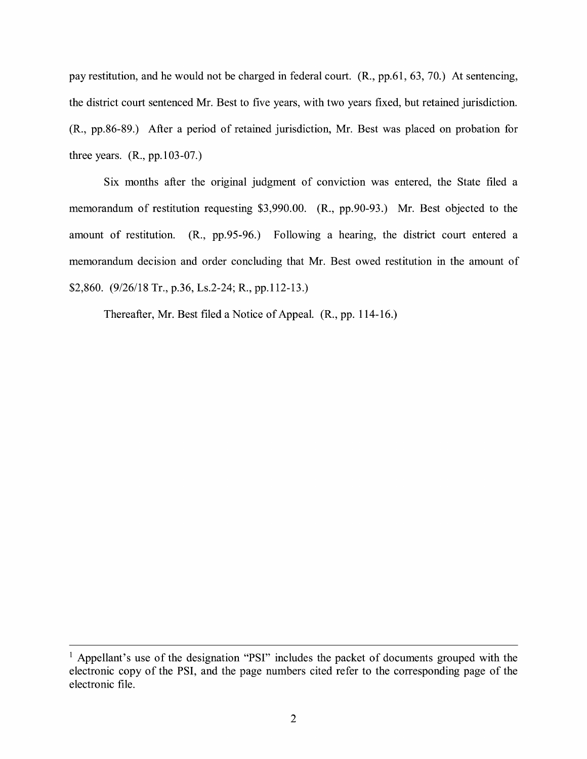pay restitution, and he would not be charged in federal court. (R., pp.61, 63, 70.) At sentencing, the district court sentenced Mr. Best to five years, with two years fixed, but retained jurisdiction. (R., pp.86-89.) After a period of retained jurisdiction, Mr. Best was placed on probation for three years. (R., pp.103-07.)

Six months after the original judgment of conviction was entered, the State filed a memorandum of restitution requesting \$3,990.00. (R., pp.90-93.) Mr. Best objected to the amount of restitution. (R., pp.95-96.) Following a hearing, the district court entered a memorandum decision and order concluding that Mr. Best owed restitution in the amount of \$2,860. (9/26/18 Tr., p.36, Ls.2-24; R., pp.112-13.)

Thereafter, Mr. Best filed a Notice of Appeal. (R., pp. 114-16.)

<sup>&</sup>lt;sup>1</sup> Appellant's use of the designation "PSI" includes the packet of documents grouped with the electronic copy of the PSI, and the page numbers cited refer to the corresponding page of the electronic file.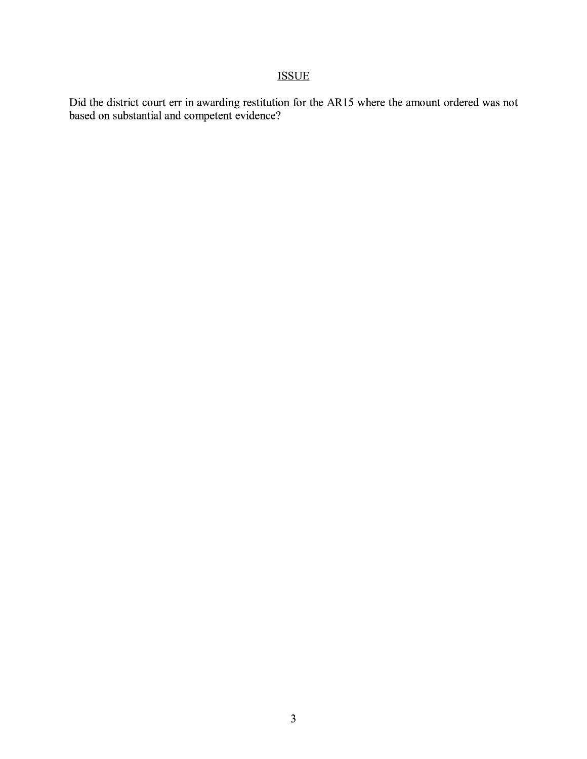# **ISSUE**

Did the district court err in awarding restitution for the AR15 where the amount ordered was not based on substantial and competent evidence?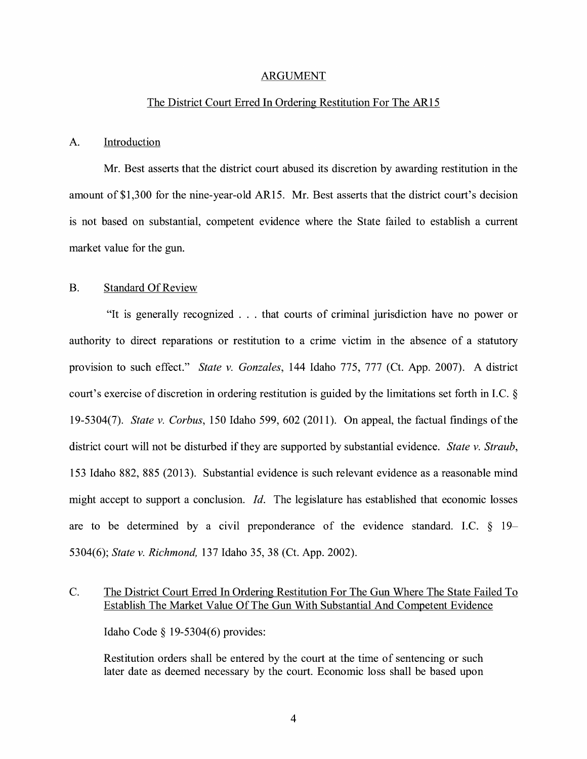#### ARGUMENT

#### The District Court Erred In Ordering Restitution For The AR15

#### A. Introduction

Mr. Best asserts that the district court abused its discretion by awarding restitution in the amount of \$1,300 for the nine-year-old AR15. Mr. Best asserts that the district court's decision is not based on substantial, competent evidence where the State failed to establish a current market value for the gun.

#### B. Standard Of Review

"It is generally recognized ... that courts of criminal jurisdiction have no power or authority to direct reparations or restitution to a crime victim in the absence of a statutory provision to such effect." *State v. Gonzales,* 144 Idaho 775, 777 (Ct. App. 2007). A district court's exercise of discretion in ordering restitution is guided by the limitations set forth in LC. § 19-5304(7). *State v. Corbus,* 150 Idaho 599, 602 (2011). On appeal, the factual findings of the district court will not be disturbed if they are supported by substantial evidence. *State v. Straub,*  153 Idaho 882, 885 (2013). Substantial evidence is such relevant evidence as a reasonable mind might accept to support a conclusion. *Id.* The legislature has established that economic losses are to be determined by a civil preponderance of the evidence standard. LC. § 19- 5304(6); *State v. Richmond,* 137 Idaho 35, 38 (Ct. App. 2002).

### C. The District Court Erred In Ordering Restitution For The Gun Where The State Failed To Establish The Market Value Of The Gun With Substantial And Competent Evidence

Idaho Code§ 19-5304(6) provides:

Restitution orders shall be entered by the court at the time of sentencing or such later date as deemed necessary by the court. Economic loss shall be based upon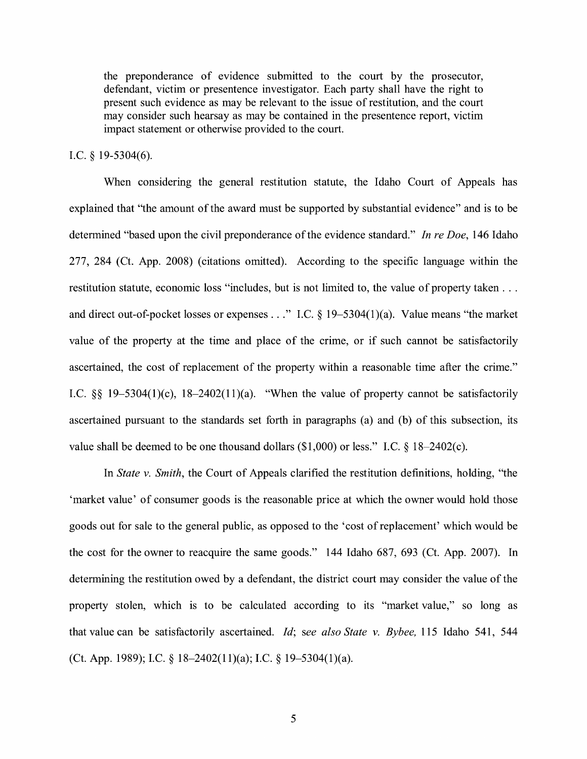the preponderance of evidence submitted to the court by the prosecutor, defendant, victim or presentence investigator. Each party shall have the right to present such evidence as may be relevant to the issue of restitution, and the court may consider such hearsay as may be contained in the presentence report, victim impact statement or otherwise provided to the court.

#### I.C. § 19-5304(6).

When considering the general restitution statute, the Idaho Court of Appeals has explained that "the amount of the award must be supported by substantial evidence" and is to be determined "based upon the civil preponderance of the evidence standard." *In re Doe,* 146 Idaho 277, 284 (Ct. App. 2008) (citations omitted). According to the specific language within the restitution statute, economic loss "includes, but is not limited to, the value of property taken ... and direct out-of-pocket losses or expenses ... " LC. § 19-5304(1)(a). Value means "the market value of the property at the time and place of the crime, or if such cannot be satisfactorily ascertained, the cost of replacement of the property within a reasonable time after the crime." I.C.  $\S$ § 19-5304(1)(c), 18-2402(11)(a). "When the value of property cannot be satisfactorily ascertained pursuant to the standards set forth in paragraphs (a) and (b) of this subsection, its value shall be deemed to be one thousand dollars (\$1,000) or less." I.C. § 18-2402(c).

In *State v. Smith,* the Court of Appeals clarified the restitution definitions, holding, "the 'market value' of consumer goods is the reasonable price at which the owner would hold those goods out for sale to the general public, as opposed to the 'cost ofreplacement' which would be the cost for the owner to reacquire the same goods." 144 Idaho 687, 693 (Ct. App. 2007). In determining the restitution owed by a defendant, the district court may consider the value of the property stolen, which is to be calculated according to its "market value," so long as that value can be satisfactorily ascertained. *Id; see also State v. Bybee,* 115 Idaho 541, 544 (Ct. App. 1989); LC. § 18-2402(1 l)(a); LC. § 19-5304(1)(a).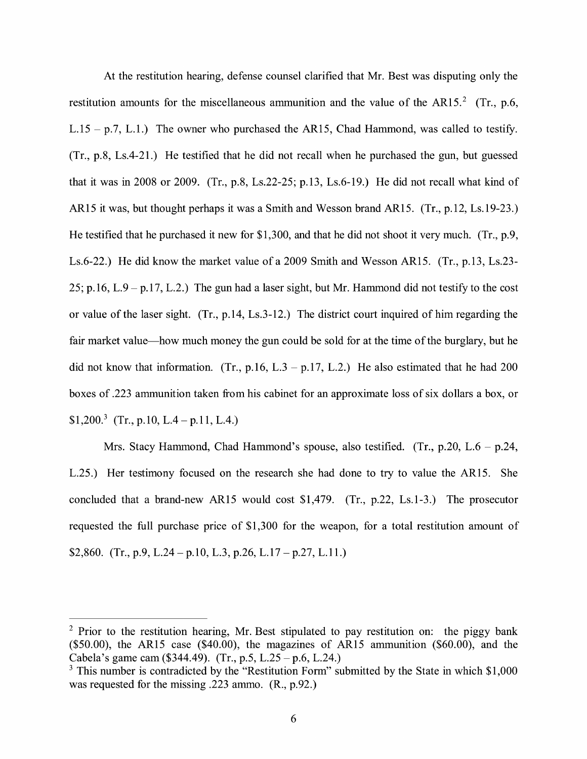At the restitution hearing, defense counsel clarified that Mr. Best was disputing only the restitution amounts for the miscellaneous ammunition and the value of the AR15.<sup>2</sup> (Tr., p.6, L.15 - p.7, L.1.) The owner who purchased the AR15, Chad Hammond, was called to testify. (Tr., p.8, Ls.4-21.) He testified that he did not recall when he purchased the gun, but guessed that it was in 2008 or 2009. (Tr., p.8, Ls.22-25; p.13, Ls.6-19.) He did not recall what kind of AR15 it was, but thought perhaps it was a Smith and Wesson brand AR15. (Tr., p.12, Ls.19-23.) He testified that he purchased it new for \$1,300, and that he did not shoot it very much. (Tr., p.9, Ls.6-22.) He did know the market value of a 2009 Smith and Wesson AR15. (Tr., p.13, Ls.23- 25; p.16, L.9 - p.17, L.2.) The gun had a laser sight, but Mr. Hammond did not testify to the cost or value of the laser sight. (Tr., p.14, Ls.3-12.) The district court inquired of him regarding the fair market value—how much money the gun could be sold for at the time of the burglary, but he did not know that information. (Tr., p.16, L.3 – p.17, L.2.) He also estimated that he had 200 boxes of .223 ammunition taken from his cabinet for an approximate loss of six dollars a box, or \$1,200.<sup>3</sup> (Tr., p.10, L.4 – p.11, L.4.)

Mrs. Stacy Hammond, Chad Hammond's spouse, also testified. (Tr., p.20, L.6 – p.24, L.25.) Her testimony focused on the research she had done to try to value the AR15. She concluded that a brand-new AR15 would cost \$1,479. (Tr., p.22, Ls.1-3.) The prosecutor requested the full purchase price of \$1,300 for the weapon, for a total restitution amount of \$2,860. (Tr., p.9, L.24 – p.10, L.3, p.26, L.17 – p.27, L.11.)

<sup>&</sup>lt;sup>2</sup> Prior to the restitution hearing, Mr. Best stipulated to pay restitution on: the piggy bank  $($50.00)$ , the AR15 case  $($40.00)$ , the magazines of AR15 ammunition  $($60.00)$ , and the Cabela's game cam  $(\$344.49)$ . (Tr., p.5, L.25 - p.6, L.24.)

 $3$  This number is contradicted by the "Restitution Form" submitted by the State in which \$1,000 was requested for the missing .223 ammo. (R., p.92.)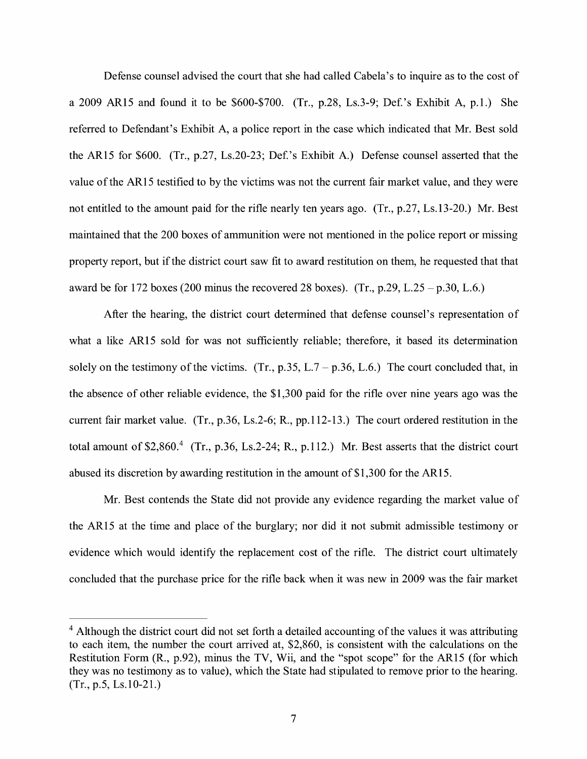Defense counsel advised the court that she had called Cabela's to inquire as to the cost of a 2009 AR15 and found it to be  $$600-\$700$ . (Tr., p.28, Ls.3-9; Def.'s Exhibit A, p.1.) She referred to Defendant's Exhibit A, a police report in the case which indicated that Mr. Best sold the AR15 for \$600. (Tr., p.27, Ls.20-23; Def.'s Exhibit A.) Defense counsel asserted that the value of the AR15 testified to by the victims was not the current fair market value, and they were not entitled to the amount paid for the rifle nearly ten years ago. (Tr., p.27, Ls.13-20.) Mr. Best maintained that the 200 boxes of ammunition were not mentioned in the police report or missing property report, but if the district court saw fit to award restitution on them, he requested that that award be for 172 boxes (200 minus the recovered 28 boxes). (Tr., p.29, L.25 - p.30, L.6.)

After the hearing, the district court determined that defense counsel's representation of what a like AR15 sold for was not sufficiently reliable; therefore, it based its determination solely on the testimony of the victims. (Tr., p.35, L.7 – p.36, L.6.) The court concluded that, in the absence of other reliable evidence, the \$1,300 paid for the rifle over nine years ago was the current fair market value. (Tr., p.36, Ls.2-6; R., pp.112-13.) The court ordered restitution in the total amount of  $$2,860<sup>4</sup>$  (Tr., p.36, Ls.2-24; R., p.112.) Mr. Best asserts that the district court abused its discretion by awarding restitution in the amount of\$1,300 for the AR15.

Mr. Best contends the State did not provide any evidence regarding the market value of the AR15 at the time and place of the burglary; nor did it not submit admissible testimony or evidence which would identify the replacement cost of the rifle. The district court ultimately concluded that the purchase price for the rifle back when it was new in 2009 was the fair market

<sup>&</sup>lt;sup>4</sup> Although the district court did not set forth a detailed accounting of the values it was attributing to each item, the number the court arrived at, \$2,860, is consistent with the calculations on the Restitution Form (R., p.92), minus the TV, Wii, and the "spot scope" for the AR15 (for which they was no testimony as to value), which the State had stipulated to remove prior to the hearing. (Tr., p.5, Ls.10-21.)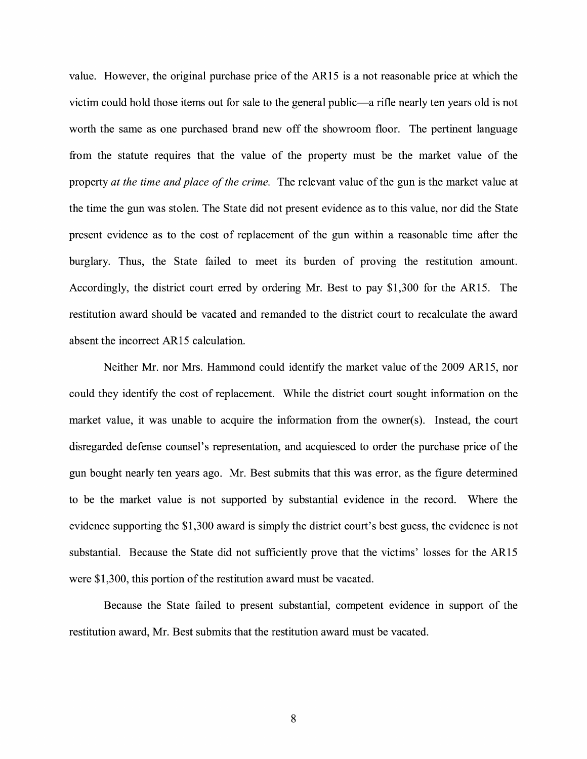value. However, the original purchase price of the ARI 5 is a not reasonable price at which the victim could hold those items out for sale to the general public—a rifle nearly ten years old is not worth the same as one purchased brand new off the showroom floor. The pertinent language from the statute requires that the value of the property must be the market value of the property *at the time and place of the crime.* The relevant value of the gun is the market value at the time the gun was stolen. The State did not present evidence as to this value, nor did the State present evidence as to the cost of replacement of the gun within a reasonable time after the burglary. Thus, the State failed to meet its burden of proving the restitution amount. Accordingly, the district court erred by ordering Mr. Best to pay \$I,300 for the ARIS. The restitution award should be vacated and remanded to the district court to recalculate the award absent the incorrect AR15 calculation.

Neither Mr. nor Mrs. Hammond could identify the market value of the 2009 ARIS, nor could they identify the cost of replacement. While the district court sought information on the market value, it was unable to acquire the information from the owner( $s$ ). Instead, the court disregarded defense counsel's representation, and acquiesced to order the purchase price of the gun bought nearly ten years ago. Mr. Best submits that this was error, as the figure determined to be the market value is not supported by substantial evidence in the record. Where the evidence supporting the \$I,300 award is simply the district court's best guess, the evidence is not substantial. Because the State did not sufficiently prove that the victims' losses for the ARIS were \$I,300, this portion of the restitution award must be vacated.

Because the State failed to present substantial, competent evidence in support of the restitution award, Mr. Best submits that the restitution award must be vacated.